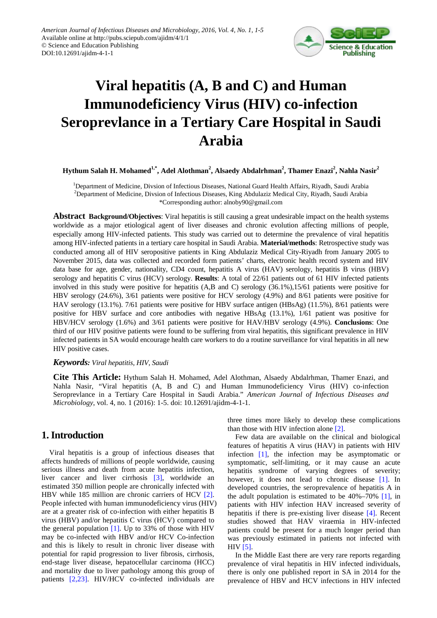

# **Viral hepatitis (A, B and C) and Human Immunodeficiency Virus (HIV) co-infection Seroprevlance in a Tertiary Care Hospital in Saudi Arabia**

 $\bold{H}$ ythum Salah  $\bold{H}$ . Mohamed $^{1,*}$ , Adel Alothman $^2$ , Alsaedy Abdalrhman $^2$ , Thamer Enazi $^2$ , Nahla Nasir $^2$ 

<sup>1</sup>Department of Medicine, Divsion of Infectious Diseases, National Guard Health Affairs, Riyadh, Saudi Arabia 2 Department of Medicine, Divsion of Infectious Diseases, King Abdulaziz Medical City, Riyadh, Saudi Arabia \*Corresponding author: alnoby90@gmail.com

**Abstract Background/Objectives**: Viral hepatitis is still causing a great undesirable impact on the health systems worldwide as a major etiological agent of liver diseases and chronic evolution affecting millions of people, especially among HIV-infected patients. This study was carried out to determine the prevalence of viral hepatitis among HIV-infected patients in a tertiary care hospital in Saudi Arabia. **Material/methods**: Retrospective study was conducted among all of HIV seropositive patients in King Abdulaziz Medical City-Riyadh from January 2005 to November 2015, data was collected and recorded form patients' charts, electronic health record system and HIV data base for age, gender, nationality, CD4 count, hepatitis A virus (HAV) serology, hepatitis B virus (HBV) serology and hepatitis C virus (HCV) serology. **Results**: A total of 22/61 patients out of 61 HIV infected patients involved in this study were positive for hepatitis (A,B and C) serology (36.1%),15/61 patients were positive for HBV serology (24.6%), 3/61 patients were positive for HCV serology (4.9%) and 8/61 patients were positive for HAV serology (13.1%). 7/61 patients were positive for HBV surface antigen (HBsAg) (11.5%), 8/61 patients were positive for HBV surface and core antibodies with negative HBsAg (13.1%), 1/61 patient was positive for HBV/HCV serology (1.6%) and 3/61 patients were positive for HAV/HBV serology (4.9%). **Conclusions**: One third of our HIV positive patients were found to be suffering from viral hepatitis, this significant prevalence in HIV infected patients in SA would encourage health care workers to do a routine surveillance for viral hepatitis in all new HIV positive cases.

#### *Keywords: Viral hepatitis, HIV, Saudi*

**Cite This Article:** Hythum Salah H. Mohamed, Adel Alothman, Alsaedy Abdalrhman, Thamer Enazi, and Nahla Nasir, "Viral hepatitis (A, B and C) and Human Immunodeficiency Virus (HIV) co-infection Seroprevlance in a Tertiary Care Hospital in Saudi Arabia." *American Journal of Infectious Diseases and Microbiology*, vol. 4, no. 1 (2016): 1-5. doi: 10.12691/ajidm-4-1-1.

#### **1. Introduction**

Viral hepatitis is a group of infectious diseases that affects hundreds of millions of people worldwide, causing serious illness and death from acute hepatitis infection, liver cancer and liver cirrhosis [\[3\],](#page-4-0) worldwide an estimated 350 million people are chronically infected with HBV while 185 million are chronic carriers of HCV [\[2\].](#page-4-1) People infected with human immunodeficiency virus (HIV) are at a greater risk of co-infection with either hepatitis B virus (HBV) and/or hepatitis C virus (HCV) compared to the general population  $[1]$ . Up to 33% of those with HIV may be co-infected with HBV and/or HCV Co-infection and this is likely to result in chronic liver disease with potential for rapid progression to liver fibrosis, cirrhosis, end-stage liver disease, hepatocellular carcinoma (HCC) and mortality due to liver pathology among this group of patients [\[2,23\].](#page-4-1) HIV/HCV co-infected individuals are

three times more likely to develop these complications than those with HIV infection alone [\[2\].](#page-4-1)

Few data are available on the clinical and biological features of hepatitis A virus (HAV) in patients with HIV infection [\[1\],](#page-4-2) the infection may be asymptomatic or symptomatic, self-limiting, or it may cause an acute hepatitis syndrome of varying degrees of severity; however, it does not lead to chronic disease [\[1\].](#page-4-2) In developed countries, the seroprevalence of hepatitis A in the adult population is estimated to be  $40\% - 70\%$  [\[1\],](#page-4-2) in patients with HIV infection HAV increased severity of hepatitis if there is pre-existing liver disease [\[4\].](#page-4-3) Recent studies showed that HAV viraemia in HIV-infected patients could be present for a much longer period than was previously estimated in patients not infected with  $HIV$  [\[5\].](#page-4-4)

In the Middle East there are very rare reports regarding prevalence of viral hepatitis in HIV infected individuals, there is only one published report in SA in 2014 for the prevalence of HBV and HCV infections in HIV infected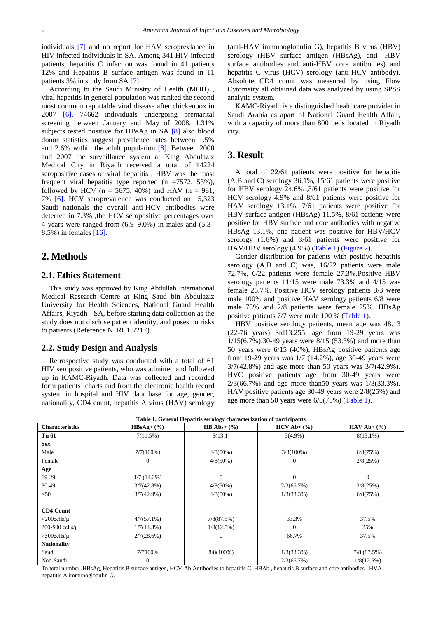individuals [\[7\]](#page-4-5) and no report for HAV seroprevlance in HIV infected individuals in SA. Among 341 HIV-infected patients, hepatitis C infection was found in 41 patients 12% and Hepatitis B surface antigen was found in 11 patients 3% in study from SA [\[7\].](#page-4-5)

According to the Saudi Ministry of Health (MOH) , viral hepatitis in general population was ranked the second most common reportable viral disease after chickenpox in 2007 [\[6\],](#page-4-6) 74662 individuals undergoing premarital screening between January and May of 2008, 1.31% subjects tested positive for HBsAg in SA [\[8\]](#page-4-7) also blood donor statistics suggest prevalence rates between 1.5% and 2.6% within the adult population [\[8\].](#page-4-7) Between 2000 and 2007 the surveillance system at King Abdulaziz Medical City in Riyadh received a total of 14224 seropositive cases of viral hepatitis , HBV was the most frequent viral hepatitis type reported (n =7572, 53%), followed by HCV ( $n = 5675$ , 40%) and HAV ( $n = 981$ , 7% [\[6\].](#page-4-6) HCV seroprevalence was conducted on 15,323 Saudi nationals the overall anti-HCV antibodies were detected in 7.3% ,the HCV seropositive percentages over 4 years were ranged from (6.9–9.0%) in males and (5.3– 8.5%) in females [\[16\].](#page-4-8)

## **2. Methods**

#### **2.1. Ethics Statement**

This study was approved by King Abdullah International Medical Research Centre at King Saud bin Abdulaziz University for Health Sciences, National Guard Health Affairs, Riyadh - SA, before starting data collection as the study does not disclose patient identity, and poses no risks to patients (Reference N. RC13/217).

#### **2.2. Study Design and Analysis**

Retrospective study was conducted with a total of 61 HIV seropositive patients, who was admitted and followed up in KAMC-Riyadh. Data was collected and recorded form patients' charts and from the electronic health record system in hospital and HIV data base for age, gender, nationality, CD4 count, hepatitis A virus (HAV) serology (anti-HAV immunoglobulin G), hepatitis B virus (HBV) serology (HBV surface antigen (HBsAg), anti- HBV surface antibodies and anti-HBV core antibodies) and hepatitis C virus (HCV) serology (anti-HCV antibody). Absolute CD4 count was measured by using Flow Cytometry all obtained data was analyzed by using SPSS analytic system.

KAMC-Riyadh is a distinguished healthcare provider in Saudi Arabia as apart of National Guard Health Affair, with a capacity of more than 800 beds located in Riyadh city.

# **3. Result**

A total of 22/61 patients were positive for hepatitis (A,B and C) serology 36.1%, 15/61 patients were positive for HBV serology 24.6% ,3/61 patients were positive for HCV serology 4.9% and 8/61 patients were positive for HAV serology 13.1%. 7/61 patients were positive for HBV surface antigen (HBsAg) 11.5%, 8/61 patients were positive for HBV surface and core antibodies with negative HBsAg 13.1%, one patient was positive for HBV/HCV serology (1.6%) and 3/61 patients were positive for HAV/HBV serology (4.9%) [\(Table 1\)](#page-1-0) [\(Figure 2\)](#page-2-0).

Gender distribution for patients with positive hepatitis serology (A,B and C) was,  $16/22$  patients were male 72.7%, 6/22 patients were female 27.3%.Positive HBV serology patients 11/15 were male 73.3% and 4/15 was female 26.7%. Positive HCV serology patients 3/3 were male 100% and positive HAV serology patients 6/8 were male 75% and 2/8 patients were female 25%. HBsAg positive patients 7/7 were male 100 % [\(Table 1\)](#page-1-0).

HBV positive serology patients, mean age was 48.13 (22-76 years) Std13.255, age from 19-29 years was 1/15(6.7%),30-49 years were 8/15 (53.3%) and more than 50 years were 6/15 (40%), HBsAg positive patients age from 19-29 years was 1/7 (14.2%), age 30-49 years were 3/7(42.8%) and age more than 50 years was 3/7(42.9%). HVC positive patients age from 30-49 years were 2/3(66.7%) and age more than50 years was 1/3(33.3%). HAV positive patients age 30-49 years were 2/8(25%) and age more than 50 years were 6/8(75%) [\(Table 1\)](#page-1-0).

<span id="page-1-0"></span>

| <b>Characteristics</b> | $HBsAg+(%)$   | HB Abs+ $(%$ | $HCV$ Ab+ $(\%)$ | $HAV Ab+(%)$     |
|------------------------|---------------|--------------|------------------|------------------|
| Tn 61                  | 7(11.5%)      | 8(13.1)      | $3(4.9\%)$       | $8(13.1\%)$      |
| <b>Sex</b>             |               |              |                  |                  |
| Male                   | $7/7(100\%)$  | $4/8(50\%)$  | $3/3(100\%)$     | 6/8(75%)         |
| Female                 | $\theta$      | $4/8(50\%)$  | $\theta$         | 2/8(25%)         |
| Age                    |               |              |                  |                  |
| 19-29                  | $1/7(14.2\%)$ | $\Omega$     | $\mathbf{0}$     | $\Omega$         |
| $30-49$                | 3/7(42.8%)    | $4/8(50\%)$  | 2/3(66.7%)       | 2/8(25%)         |
| >50                    | $3/7(42.9\%)$ | $4/8(50\%)$  | $1/3(33.3\%)$    | 6/8(75%)         |
|                        |               |              |                  |                  |
| <b>CD4 Count</b>       |               |              |                  |                  |
| $\leq$ 200cells/ $\mu$ | $4/7(57.1\%)$ | 7/8(87.5%)   | 33.3%            | 37.5%            |
| $200-500$ cells/ $\mu$ | $1/7(14.3\%)$ | 1/8(12.5%)   | $\Omega$         | 25%              |
| $>500$ cells/ $\mu$    | 2/7(28.6%)    | $\Omega$     | 66.7%            | 37.5%            |
| <b>Nationality</b>     |               |              |                  |                  |
| Saudi                  | 7/7100%       | $8/8(100\%)$ | $1/3(33.3\%)$    | $7/8$ $(87.5\%)$ |
| Non-Saudi              | $\mathbf{0}$  | 0            | 2/3(66.7%)       | 1/8(12.5%)       |

**Table 1. General Hepatitis serology characterization of participants**

Tn total number ,HBsAg, Hepatitis B surface antigen, HCV-Ab Antibodies to hepatitis C, HBAb , hepatitis B surface and core antibodies , HVA hepatitis A immunoglobulin G.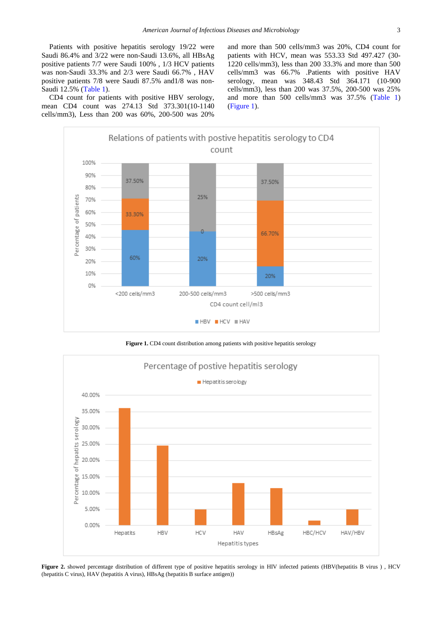Patients with positive hepatitis serology 19/22 were Saudi 86.4% and 3/22 were non-Saudi 13.6%, all HBsAg positive patients 7/7 were Saudi 100% , 1/3 HCV patients was non-Saudi 33.3% and 2/3 were Saudi 66.7% , HAV positive patients 7/8 were Saudi 87.5% and1/8 was non-Saudi 12.5% [\(Table 1\)](#page-1-0).

CD4 count for patients with positive HBV serology, mean CD4 count was 274.13 Std 373.301(10-1140 cells/mm3), Less than 200 was 60%, 200-500 was 20%

and more than 500 cells/mm3 was 20%, CD4 count for patients with HCV, mean was 553.33 Std 497.427 (30- 1220 cells/mm3), less than 200 33.3% and more than 500 cells/mm3 was 66.7% .Patients with positive HAV serology, mean was 348.43 Std 364.171 (10-900 cells/mm3), less than 200 was 37.5%, 200-500 was 25% and more than 500 cells/mm3 was 37.5% [\(Table 1\)](#page-1-0) [\(Figure 1\)](#page-2-1).

<span id="page-2-1"></span>

Figure 1. CD4 count distribution among patients with positive hepatitis serology

<span id="page-2-0"></span>

**Figure 2.** showed percentage distribution of different type of positive hepatitis serology in HIV infected patients (HBV(hepatitis B virus ) , HCV (hepatitis C virus), HAV (hepatitis A virus), HBsAg (hepatitis B surface antigen))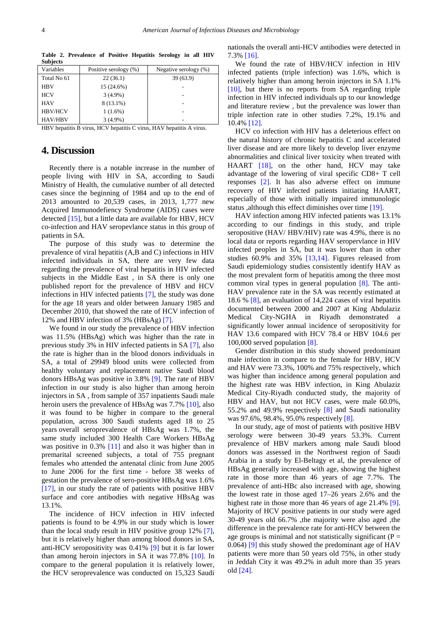| Variables                                                                   | Positive serology (%) | Negative serology $(\%)$ |  |  |  |
|-----------------------------------------------------------------------------|-----------------------|--------------------------|--|--|--|
| Total No 61                                                                 | 22(36.1)              | 39(63.9)                 |  |  |  |
| <b>HBV</b>                                                                  | 15 (24.6%)            |                          |  |  |  |
| <b>HCV</b>                                                                  | $3(4.9\%)$            |                          |  |  |  |
| <b>HAV</b>                                                                  | 8 (13.1%)             |                          |  |  |  |
| <b>HBV/HCV</b>                                                              | $1(1.6\%)$            |                          |  |  |  |
| <b>HAV/HBV</b>                                                              | $3(4.9\%)$            |                          |  |  |  |
| $\cdots$<br><b>******</b><br>$\cdots$<br>$\cdots$<br><b>******</b><br>----- |                       |                          |  |  |  |

**Table 2. Prevalence of Positive Hepatitis Serology in all HIV Subjects**

HBV hepatitis B virus, HCV hepatitis C virus, HAV hepatitis A virus.

## **4. Discussion**

Recently there is a notable increase in the number of people living with HIV in SA, according to Saudi Ministry of Health, the cumulative number of all detected cases since the beginning of 1984 and up to the end of 2013 amounted to 20,539 cases, in 2013, 1,777 new Acquired Immunodefiency Syndrome (AIDS) cases were detected [\[15\],](#page-4-9) but a little data are available for HBV, HCV co-infection and HAV seropevlance status in this group of patients in SA.

The purpose of this study was to determine the prevalence of viral hepatitis (A,B and C) infections in HIV infected individuals in SA, there are very few data regarding the prevalence of viral hepatitis in HIV infected subjects in the Middle East , in SA there is only one published report for the prevalence of HBV and HCV infections in HIV infected patients [\[7\],](#page-4-5) the study was done for the age 18 years and older between January 1985 and December 2010, that showed the rate of HCV infection of 12% and HBV infection of 3% (HBsAg) [\[7\].](#page-4-5)

We found in our study the prevalence of HBV infection was 11.5% (HBsAg) which was higher than the rate in previous study 3% in HIV infected patients in SA [\[7\],](#page-4-5) also the rate is higher than in the blood donors individuals in SA, a total of 29949 blood units were collected from healthy voluntary and replacement native Saudi blood donors HBsAg was positive in 3.8% [\[9\].](#page-4-10) The rate of HBV infection in our study is also higher than among heroin injectors in SA , from sample of 357 inpatients Saudi male heroin users the prevalence of HBsAg was 7.7% [\[10\],](#page-4-11) also it was found to be higher in compare to the general population, across 300 Saudi students aged 18 to 25 years overall seroprevalence of HBsAg was 1.7%, the same study included 300 Health Care Workers HBsAg was positive in 0.3% [\[11\]](#page-4-12) and also it was higher than in premarital screened subjects, a total of 755 pregnant females who attended the antenatal clinic from June 2005 to June 2006 for the first time - before 38 weeks of gestation the prevalence of sero-positive HBsAg was 1.6% [\[17\],](#page-4-13) in our study the rate of patients with positive HBV surface and core antibodies with negative HBsAg was 13.1%.

The incidence of HCV infection in HIV infected patients is found to be 4.9% in our study which is lower than the local study result in HIV positive group 12% [\[7\],](#page-4-5) but it is relatively higher than among blood donors in SA, anti-HCV seropositivity was 0.41% [\[9\]](#page-4-10) but it is far lower than among heroin injectors in SA it was 77.8% [\[10\].](#page-4-11) In compare to the general population it is relatively lower, the HCV seroprevalence was conducted on 15,323 Saudi

nationals the overall anti-HCV antibodies were detected in 7.3[% \[16\].](#page-4-8)

We found the rate of HBV/HCV infection in HIV infected patients (triple infection) was 1.6%, which is relatively higher than among heroin injectors in SA 1.1% [\[10\],](#page-4-11) but there is no reports from SA regarding triple infection in HIV infected individuals up to our knowledge and literature review , but the prevalence was lower than triple infection rate in other studies 7.2%, 19.1% and 10.4[% \[12\].](#page-4-14)

HCV co infection with HIV has a deleterious effect on the natural history of chronic hepatitis C and accelerated liver disease and are more likely to develop liver enzyme abnormalities and clinical liver toxicity when treated with HAART [\[18\],](#page-4-15) on the other hand, HCV may take advantage of the lowering of viral specific CD8+ T cell responses [\[2\].](#page-4-1) It has also adverse effect on immune recovery of HIV infected patients initiating HAART, especially of those with initially impaired immunologic status ,although this effect diminishes over time [\[19\].](#page-4-16)

HAV infection among HIV infected patients was 13.1% according to our findings in this study, and triple seropositive (HAV/ HBV/HIV) rate was 4.9%, there is no local data or reports regarding HAV seropervlance in HIV infected peoples in SA, but it was lower than in other studies 60.9% and 35% [\[13,14\].](#page-4-17) Figures released from Saudi epidemiology studies consistently identify HAV as the most prevalent form of hepatitis among the three most common viral types in general population [\[8\].](#page-4-7) The anti-HAV prevalence rate in the SA was recently estimated at 18.6 % [\[8\],](#page-4-7) an evaluation of 14,224 cases of viral hepatitis documented between 2000 and 2007 at King Abdulaziz Medical City-NGHA in Riyadh demonstrated a significantly lower annual incidence of seropositivity for HAV 13.6 compared with HCV 78.4 or HBV 104.6 per 100,000 served population [\[8\].](#page-4-7)

Gender distribution in this study showed predominant male infection in compare to the female for HBV, HCV and HAV were 73.3%, 100% and 75% respectively, which was higher than incidence among general population and the highest rate was HBV infection, in King Abulaziz Medical City-Riyadh conducted study, the majority of HBV and HAV, but not HCV cases, were male 60.0%, 55.2% and 49.9% respectively [\[8\]](#page-4-7) and Saudi nationality was 97.6%, 98.4%, 95.0% respectively [\[8\].](#page-4-7)

In our study, age of most of patients with positive HBV serology were between 30-49 years 53.3%. Current prevalence of HBV markers among male Saudi blood donors was assessed in the Northwest region of Saudi Arabia in a study by El-Beltagy et al, the prevalence of HBsAg generally increased with age, showing the highest rate in those more than 46 years of age 7.7%. The prevalence of anti-HBc also increased with age, showing the lowest rate in those aged 17–26 years 2.6% and the highest rate in those more than 46 years of age 21.4% [\[9\].](#page-4-10) Majority of HCV positive patients in our study were aged 30-49 years old 66.7% ,the majority were also aged ,the difference in the prevalence rate for anti-HCV between the age groups is minimal and not statistically significant ( $P =$ 0.064) [\[9\]](#page-4-10) this study showed the predominant age of HAV patients were more than 50 years old 75%, in other study in Jeddah City it was 49.2% in adult more than 35 years old [\[24\].](#page-4-18)